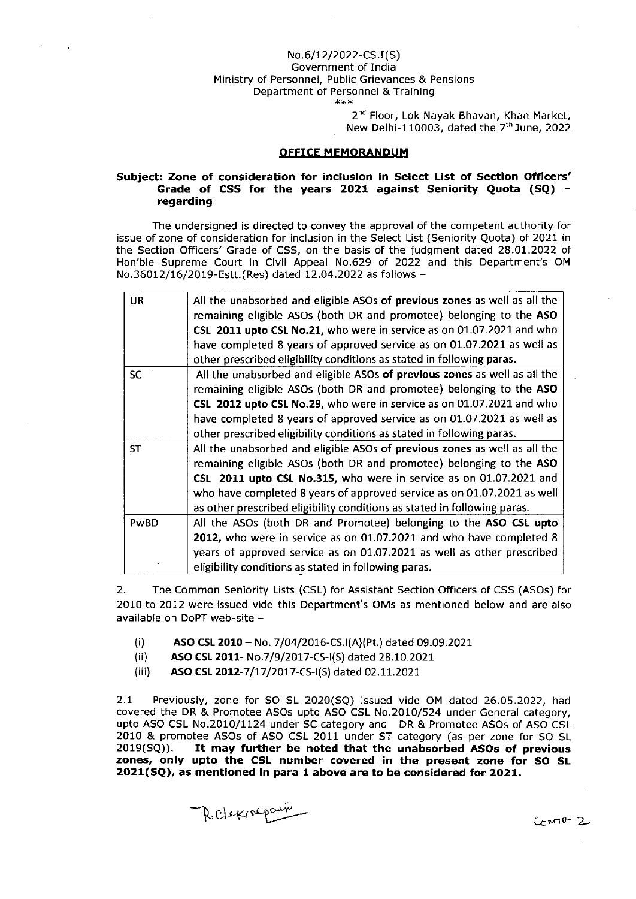## No.6/t2/2022-cs.t(s) Government of India Ministry of Personnel, Public Grievances & Pensions Department of Personnel & Training

 $***$ 

2<sup>nd</sup> Floor, Lok Nayak Bhavan, Khan Market, New Delhi-110003, dated the  $7<sup>th</sup>$  June, 2022

## OFFICE MEMORANDUM

## Subject: Zone of consideration for inclusion in Select List of Section Officers' Grade of CSS for the years 2021 against Seniority Quota (SQ)  $$ regarding

The undersigned is directed to convey the approval of the competent authority for issue of zone of consideration for inclusion in the Select List (Seniority Quota) of 2021 in the Section Officers' Grade of CSS, on the basis of the judgment dated 2a.OL.2022 of Hon'ble Supreme Court in Civil Appeal No.629 of 2022 and this Department's OM No.36Ol2/16/2O19-Estt. ( Res) dated 12.04.2022 as follows -

| <b>UR</b> | All the unabsorbed and eligible ASOs of previous zones as well as all the<br>remaining eligible ASOs (both DR and promotee) belonging to the ASO<br>CSL 2011 upto CSL No.21, who were in service as on 01.07.2021 and who<br>have completed 8 years of approved service as on 01.07.2021 as well as<br>other prescribed eligibility conditions as stated in following paras.  |
|-----------|-------------------------------------------------------------------------------------------------------------------------------------------------------------------------------------------------------------------------------------------------------------------------------------------------------------------------------------------------------------------------------|
| <b>SC</b> | All the unabsorbed and eligible ASOs of previous zones as well as all the<br>remaining eligible ASOs (both DR and promotee) belonging to the ASO<br>CSL 2012 upto CSL No.29, who were in service as on 01.07.2021 and who<br>have completed 8 years of approved service as on 01.07.2021 as well as<br>other prescribed eligibility conditions as stated in following paras.  |
| <b>ST</b> | All the unabsorbed and eligible ASOs of previous zones as well as all the<br>remaining eligible ASOs (both DR and promotee) belonging to the ASO<br>CSL 2011 upto CSL No.315, who were in service as on 01.07.2021 and<br>who have completed 8 years of approved service as on 01.07.2021 as well<br>as other prescribed eligibility conditions as stated in following paras. |
| PwBD      | All the ASOs (both DR and Promotee) belonging to the ASO CSL upto<br>2012, who were in service as on 01.07.2021 and who have completed 8<br>years of approved service as on 01.07.2021 as well as other prescribed<br>eligibility conditions as stated in following paras.                                                                                                    |

2. The Common Seniority Lists (CSL) for Assistant Section Officers of CSS (ASOS) for 2010 to 2012 were issued vlde this Department's OMs as mentloned below and are also available on DoPT web-site -

- (i) ASO CSL 2010 No. 7/04/2016-CS.I(A)(Pt.) dated 09.09.2021<br>(ii) ASO CSL 2011- No.7/9/2017-CS-I(S) dated 28.10.2021
- ASO CSL 2011- No.7/9/2017-CS-I(S) dated 28.10.2021
- (iii) ASO CSL 2012-7/17/2017-CS-I(S) dated 02.11.2021

2.1 Previously, zone for SO SL 2020(SQ) issued vide OM dated 26.05.2022, had covered the DR & Promotee ASOs upto ASO CSL No.2010/524 under General category, upto ASO CSL No.2010/1124 undet SC category and DR & Promotee ASOS of ASO CSL 2010 & promotee ASOs of ASO CSL 2011 under ST category (as per zone for SO SL 2019(SQ)). It may further be noted that the unabsorbed ASOs of previous It may further be noted that the unabsorbed ASOs of previous zones, only upto the CSL number covered in the present zone for SO SL  $2021(SQ)$ , as mentioned in para 1 above are to be considered for 2021.

Relexnepaun

 $Conv-2$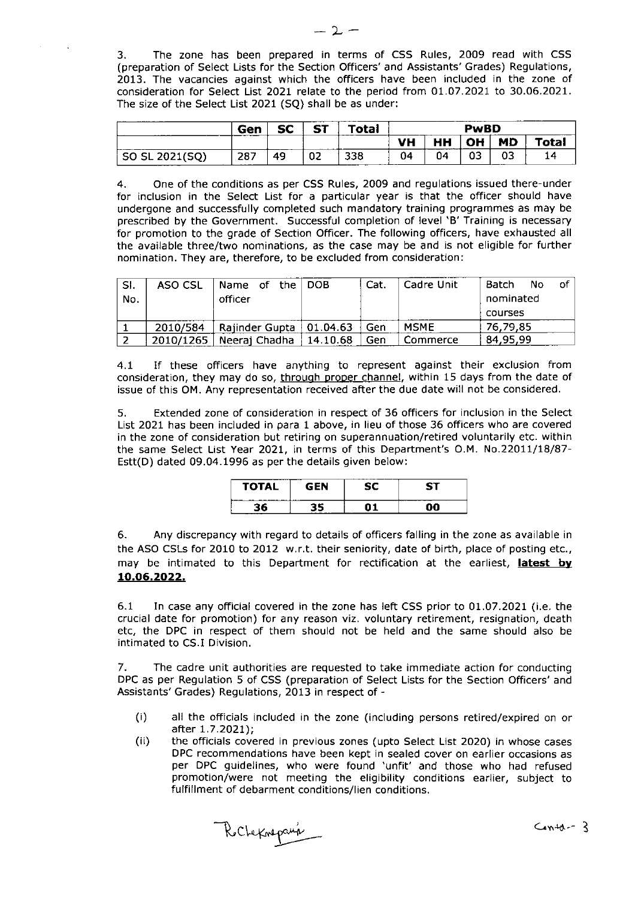3. The zone has been prepared in terms of CSS Rules, 2009 read with CSS (preparation of Select Lists for the Section Officers'and Assistants'Grades) Regulations, 2013. The vacancies against which the officers have been included in the zone of consideration for Select List 2021 relate to the period from 01.07.2021 to 30.06.2021. The size of the Select List 2021 (SQ) shall be as under:

|                | Gen  | er<br>-- | CT. | <b>Total</b> | PwBD      |            |           |           |       |  |
|----------------|------|----------|-----|--------------|-----------|------------|-----------|-----------|-------|--|
|                |      |          |     |              | <b>VH</b> | HH<br>____ | <b>OH</b> | <b>MD</b> | 'otal |  |
| SO SL 2021(SQ) | -287 | 49       | 02  | 338          | 04        | 04         | 03        | 03        | 14    |  |

4. One of the conditions as per CSS Rules, 2009 and regulations issued there-under for inclusion in the Select List for a particular year is that the officer should have undergone and successfully completed such mandatory training programmes as may be prescribed by the Government. Successful completion of level 'B' Training is necessary for promotion to the grade of Section Officer. The following oFficers, have exhausted all the available three/two nominations, as the case may be and is not eligible for further nomination. They are, therefore, to be excluded from consideration:

| SI.<br>No. | ASO CSL   | Name of the<br>officer      | ∣ DOB    | Cat.<br>Cadre Unit |                         | Batch<br><b>No</b><br>nominated | .of |
|------------|-----------|-----------------------------|----------|--------------------|-------------------------|---------------------------------|-----|
|            |           |                             |          |                    |                         | courses                         |     |
|            | 2010/584  | Rajinder Gupta $ 01.04.63 $ |          | Gen                | 76.79.85<br><b>MSME</b> |                                 |     |
|            | 2010/1265 | Neeraj Chadha               | 14.10.68 | Gen                | Commerce                | 84,95,99                        |     |

4.1 If these officers have anything to represent against their exclusion from consideration, they may do so, through proper channel, within 15 days from the date of issue of this OM. Any representation received after the due date will not be considered.

5. Extended zone of consideration in respect of 36 officers For inclusion in the Select List 2021 has been included in para 1 above, in lieu of those 36 officers who are covered in the zone of consideration but retiring on superannuation/retired voluntarily etc. within the same Select List Year 2021, in terms of this Department's O.M. No.22011/18/87-Estt(D) dated 09.04.1996 as per the details given below:

| <b>TOTAL</b> | GFN | 57 |
|--------------|-----|----|
| 96           |     |    |

6. Any discrepancy with regard to detarls of officers falling in the zone as available in the ASo csls for 2010 to 2012 w.r.t. their seniority, date of birth, place oF posting etc., may be intimated to this Department for rectification at the earliest, latest by 10.06.2022.

6.1 In case any official covered in the zone has left CSS prior to 01.07.2021 (i.e. the crucial date for promotion) for any reason viz. voluntary retirement, resignation, death etc, the DPC in respect of them should not be held and the same should also be intimated to CS.I Division.

7. The cadre unit authorities are requested to take immediate action for conducting DPC as per Regulation 5 of CSS (preparation of Select Lists for the Section Officers'and Assistants'Grades) Regulations, 2013 in respect of -

- (i) all the officials included in the zone (including persons retired/expired on or
- (ii) the officials covered in previous zones (upto Select List 2020) in whose cases OPC recommendations have been kept in sealed cover on earlier occasions as per DPC guidelines, who were found 'unfit' and those who had refused promotion,/were not meeting the eligibility conditions earlier, subject to fulfillment of debarment conditions/lien conditions.

Rocheknepaux contains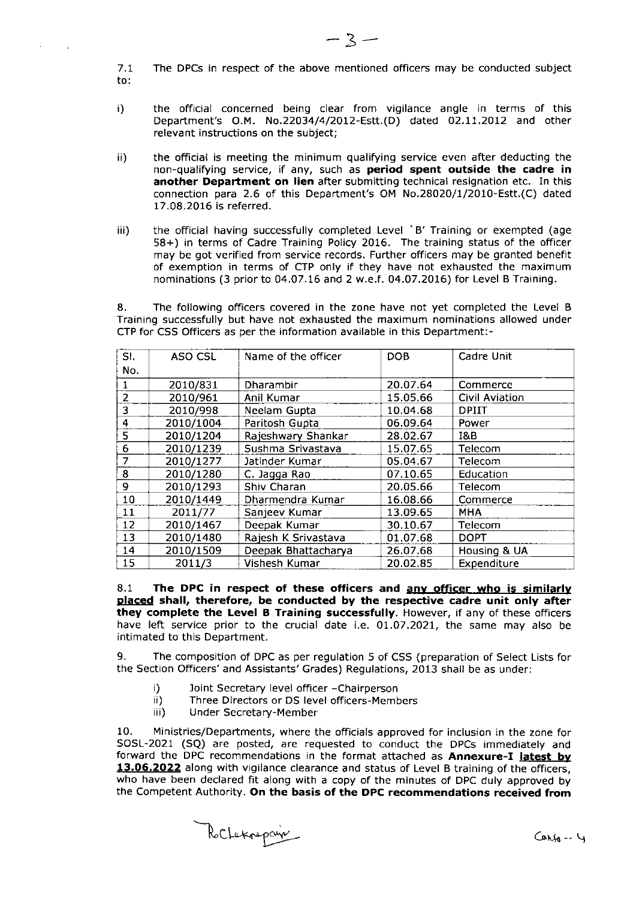$7.1$ The DPCS in respect of the above mentioned officers may be conducted subject to:

- i) the official concerned being clear from vigilance angle in terms of this Department's O.M. No.22034/4/2012-Estt.(D) dated 02.11.2012 and other relevant instructions on the subject;
- ii) the official is meeting the minimum qualifying seryice even after deducting the non-qualifying service, if any, such as period spent outside the cadre in another Department on lien after submitting technical resignation etc. In this connection para 2.6 of this Department's OM No.28020/1/2010-Estt.(C) dated 17 .08.2016 is referred.
- iii) the official having successfully completed Level 'B' Training or exempted (age 58+) in terms of Cadre Training Policy 2016. The training status of the officer may be got verified from service records. Further officers may be granted benefit of exemption in terms of CTP only if they have not exhausted the maximum nominations (3 prior to 04.O7.t6 and 2 w.e.f. 04.O7.20LG) for Level B Training.

8. The following officers covered in the zone have not yet completed the Level <sup>B</sup> Training successfully but have not exhausted the maximum nominations allowed under CTP for CSS Officers as per the information available in this Department:-

| SI.            | ASO CSL   | Name of the officer | <b>DOB</b> | Cadre Unit     |
|----------------|-----------|---------------------|------------|----------------|
| No.            |           |                     |            |                |
| 1.             | 2010/831  | Dharambir           | 20.07.64   | Commerce       |
| $\overline{2}$ | 2010/961  | Anil Kumar          | 15.05.66   | Civil Aviation |
| 3              | 2010/998  | Neelam Gupta        | 10.04.68   | <b>DPIIT</b>   |
| 4              | 2010/1004 | Paritosh Gupta      | 06.09.64   | Power          |
| 5              | 2010/1204 | Rajeshwary Shankar  | 28.02.67   | 1&B            |
| 6              | 2010/1239 | Sushma Srivastava   | 15.07.65   | Telecom        |
| 7              | 2010/1277 | Jatinder Kumar      | 05.04.67   | Telecom        |
| 8              | 2010/1280 | C. Jagga Rao        | 07.10.65   | Education      |
| 9              | 2010/1293 | Shiv Charan         | 20.05.66   | Telecom        |
| 10             | 2010/1449 | Dharmendra Kumar    | 16.08.66   | Commerce       |
| 11             | 2011/77   | Sanjeev Kumar       | 13.09.65   | <b>MHA</b>     |
| 12             | 2010/1467 | Deepak Kumar        | 30.10.67   | Telecom        |
| 13             | 2010/1480 | Rajesh K Srivastava | 01.07.68   | <b>DOPT</b>    |
| 14             | 2010/1509 | Deepak Bhattacharya | 26.07.68   | Housing & UA   |
| 15             | 2011/3    | Vishesh Kumar       | 20.02.85   | Expenditure    |

8.1 8.1 The DPC in respect of these officers and <u>any officer who is similarly</u><br><u>placed</u> shall, therefore, be conducted by the respective cadre unit only after they complete the Level B Training successfully. However, if any of these officers have left service prior to the crucial date i.e. 01.07.2021, the same may also be intimated to this Department.

9. The composition of DPC as per regulation 5 of CSS (preparation of Select Lists for the Section Officers'and Assistants' Grades) Regulations, 2013 shall be as under:

- 
- i) Joint Secretary level officer -Chairperson<br>ii) Three Directors or DS level officers-Members<br>iii) Under Secretary-Member
- 

10. Ministries/Departments, where the officials approved for inclusion in the zone for SOSL-2021 (SQ) are posted, are requested to conduct the DPCs immediately and forward the DPC recommendations in the format attached as Annexure-I latest by 13.06.2022 along with vigilance clearance and status of Level B training of the officers, who have been declared fit along with a copy of the minutes of DPC duly approved by the Competent Authority. On the basis of the DPC recommendations received from

Rochekrepain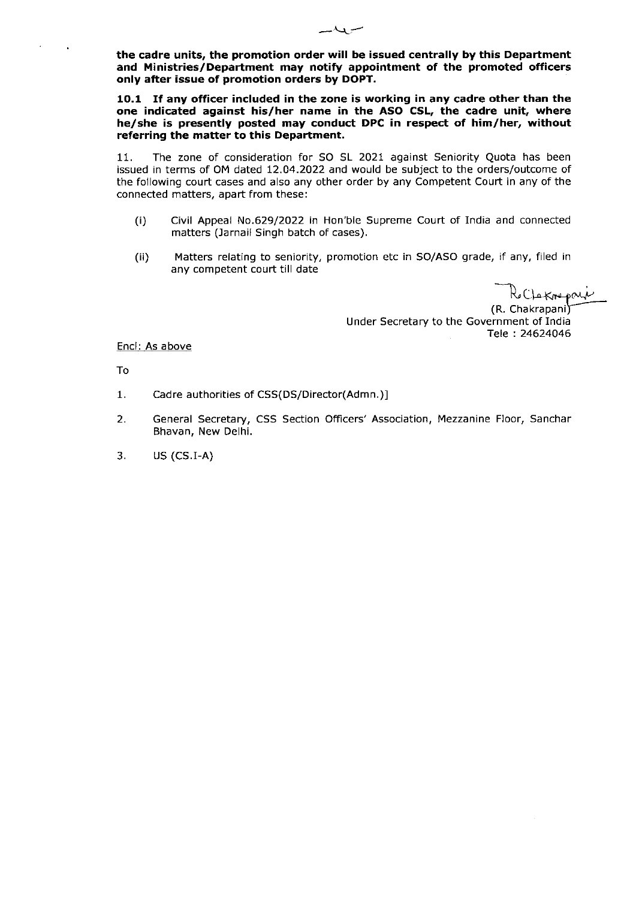the cadre units, the promotion order will be issued centrally by this Department and Ministries/Department may notify appointment of the promoted officers only after issue of promotion orders by DOPT.

10.1 If any officer included in the zone is working in any cadre other than the one indicated against his/her name in the ASO CSL, the cadre unit, where he/she is presently posted may conduct DPC in respect of him/her, without referring the matter to this Department.

11. The zone of consideration for SO SL 2021 against Seniority Quota has been issued in terms of OM dated 12.04.2022 and would be subject to the orders/outcome of the following court cases and also any other order by any competent Court in any of the connected matters, apart from these:

- (i) Civil Appeal No.629/2022 in Hon'ble Supreme Court of India and connected matters (Jarnail Singh batch of cases).
- ( ii) Matters relating to seniority, promotion etc in SO/ASO grade, if any, filed in any competent court till date

Ro Clarrepari Under Secretary to the Government of India Tele : 24624046

Encl: As above

To

- 1. Cadre authorities of CSS(DS/Director(Admn.)]
- 2. General Secretary, CSS Section Officers'Association, Mezzanine FIoor, Sanchar Bhavan, New Delhi.
- 3. **US (CS.I-A)**